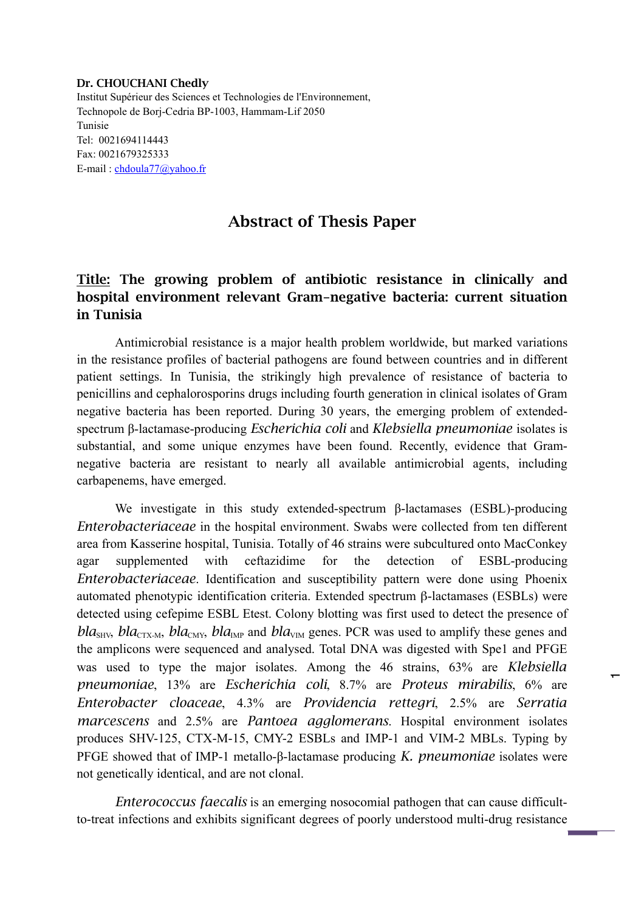## Dr. CHOUCHANI Chedly

Institut Supérieur des Sciences et Technologies de l'Environnement, Technopole de Borj-Cedria BP-1003, Hammam-Lif 2050 Tunisie Tel: 0021694114443 Fax: 0021679325333 E-mail : chdoula77@yahoo.fr

## Abstract of Thesis Paper

## Title: The growing problem of antibiotic resistance in clinically and hospital environment relevant Gram-negative bacteria: current situation in Tunisia

Antimicrobial resistance is a major health problem worldwide, but marked variations in the resistance profiles of bacterial pathogens are found between countries and in different patient settings. In Tunisia, the strikingly high prevalence of resistance of bacteria to penicillins and cephalorosporins drugs including fourth generation in clinical isolates of Gram negative bacteria has been reported. During 30 years, the emerging problem of extendedspectrum β-lactamase-producing *Escherichia coli* and *Klebsiella pneumoniae* isolates is substantial, and some unique enzymes have been found. Recently, evidence that Gramnegative bacteria are resistant to nearly all available antimicrobial agents, including carbapenems, have emerged.

We investigate in this study extended-spectrum β-lactamases (ESBL)-producing *Enterobacteriaceae* in the hospital environment. Swabs were collected from ten different area from Kasserine hospital, Tunisia. Totally of 46 strains were subcultured onto MacConkey agar supplemented with ceftazidime for the detection of ESBL-producing *Enterobacteriaceae*. Identification and susceptibility pattern were done using Phoenix automated phenotypic identification criteria. Extended spectrum β-lactamases (ESBLs) were detected using cefepime ESBL Etest. Colony blotting was first used to detect the presence of *bla*<sub>SHV</sub>, *bla*<sub>CTX-M</sub>, *bla*<sub>CMY</sub>, *bla*<sub>IMP</sub> and *bla*<sub>VIM</sub> genes. PCR was used to amplify these genes and the amplicons were sequenced and analysed. Total DNA was digested with Spe1 and PFGE was used to type the major isolates. Among the 46 strains, 63% are *Klebsiella pneumoniae*, 13% are *Escherichia coli*, 8.7% are *Proteus mirabilis*, 6% are *Enterobacter cloaceae*, 4.3% are *Providencia rettegri*, 2.5% are *Serratia marcescens* and 2.5% are *Pantoea agglomerans*. Hospital environment isolates produces SHV-125, CTX-M-15, CMY-2 ESBLs and IMP-1 and VIM-2 MBLs. Typing by PFGE showed that of IMP-1 metallo-β-lactamase producing *K. pneumoniae* isolates were not genetically identical, and are not clonal.

 $\mathbf -$ 

*Enterococcus faecalis* is an emerging nosocomial pathogen that can cause difficultto-treat infections and exhibits significant degrees of poorly understood multi-drug resistance